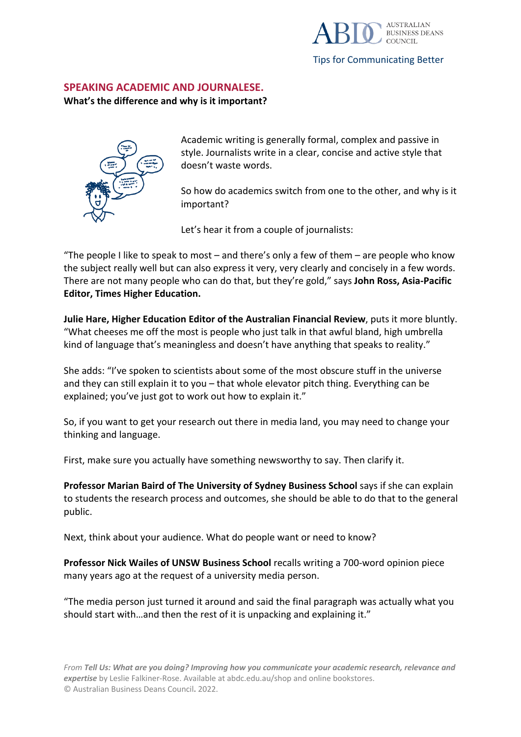

**SPEAKING ACADEMIC AND JOURNALESE.**

## **What's the difference and why is it important?**



Academic writing is generally formal, complex and passive in style. Journalists write in a clear, concise and active style that doesn't waste words.

So how do academics switch from one to the other, and why is it important?

Let's hear it from a couple of journalists:

"The people I like to speak to most  $-$  and there's only a few of them  $-$  are people who know the subject really well but can also express it very, very clearly and concisely in a few words. There are not many people who can do that, but they're gold," says **John Ross, Asia-Pacific Editor, Times Higher Education.**

**Julie Hare, Higher Education Editor of the Australian Financial Review**, puts it more bluntly. "What cheeses me off the most is people who just talk in that awful bland, high umbrella kind of language that's meaningless and doesn't have anything that speaks to reality."

She adds: "I've spoken to scientists about some of the most obscure stuff in the universe and they can still explain it to you – that whole elevator pitch thing. Everything can be explained; you've just got to work out how to explain it."

So, if you want to get your research out there in media land, you may need to change your thinking and language.

First, make sure you actually have something newsworthy to say. Then clarify it.

**Professor Marian Baird of The University of Sydney Business School** says if she can explain to students the research process and outcomes, she should be able to do that to the general public.

Next, think about your audience. What do people want or need to know?

**Professor Nick Wailes of UNSW Business School** recalls writing a 700-word opinion piece many years ago at the request of a university media person.

"The media person just turned it around and said the final paragraph was actually what you should start with…and then the rest of it is unpacking and explaining it."